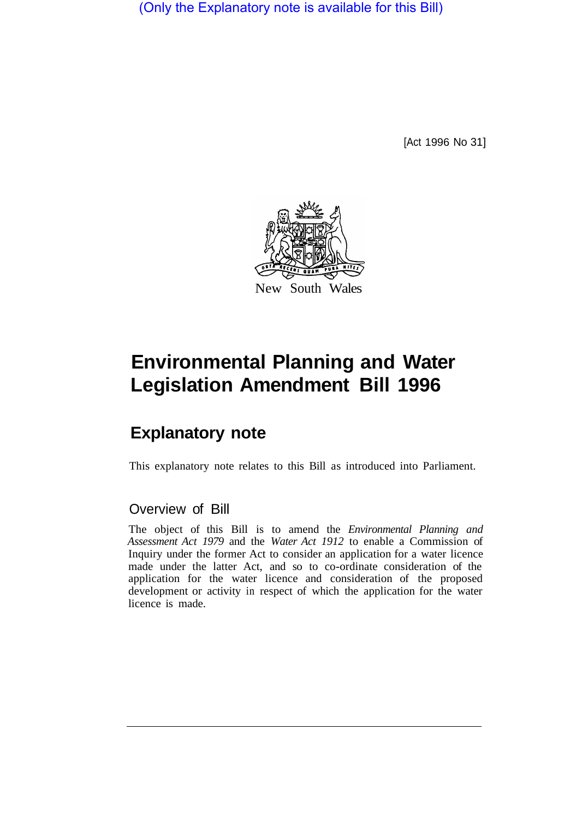(Only the Explanatory note is available for this Bill)

[Act 1996 No 31]



# **Environmental Planning and Water Legislation Amendment Bill 1996**

## **Explanatory note**

This explanatory note relates to this Bill as introduced into Parliament.

### Overview of Bill

The object of this Bill is to amend the *Environmental Planning and Assessment Act 1979* and the *Water Act 1912* to enable a Commission of Inquiry under the former Act to consider an application for a water licence made under the latter Act, and so to co-ordinate consideration of the application for the water licence and consideration of the proposed development or activity in respect of which the application for the water licence is made.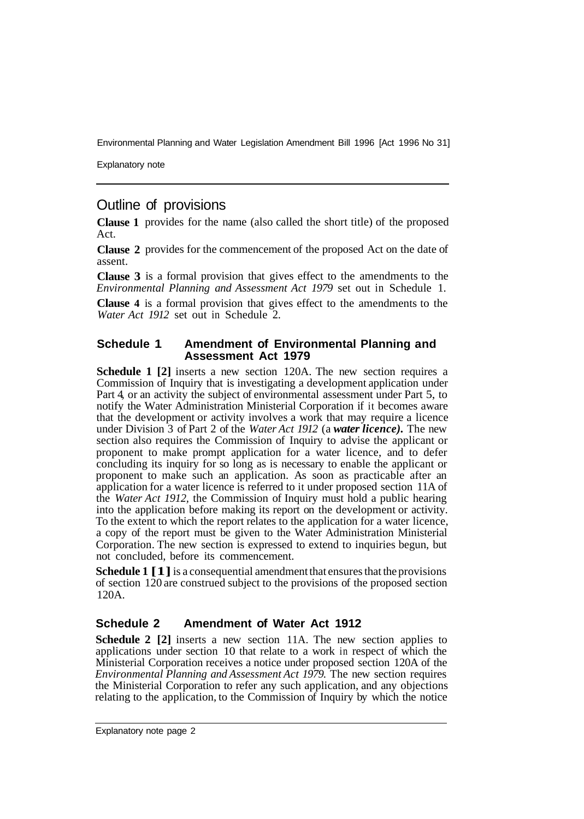Environmental Planning and Water Legislation Amendment Bill 1996 [Act 1996 No 31]

Explanatory note

## Outline of provisions

**Clause 1**  provides for the name (also called the short title) of the proposed Act.

**Clause 2**  provides for the commencement of the proposed Act on the date of assent.

**Clause 3**  is a formal provision that gives effect to the amendments to the *Environmental Planning and Assessment Act 1979* set out in Schedule 1.

**Clause 4** is a formal provision that gives effect to the amendments to the *Water Act 1912* set out in Schedule 2.

#### **Schedule 1 Amendment of Environmental Planning and Assessment Act 1979**

**Schedule 1 [2]** inserts a new section 120A. The new section requires a Commission of Inquiry that is investigating a development application under Part 4, or an activity the subject of environmental assessment under Part 5, to notify the Water Administration Ministerial Corporation if it becomes aware that the development or activity involves a work that may require a licence under Division 3 of Part 2 of the *Water Act 1912* (a *water licence).* The new section also requires the Commission of Inquiry to advise the applicant or proponent to make prompt application for a water licence, and to defer concluding its inquiry for so long as is necessary to enable the applicant or proponent to make such an application. As soon as practicable after an application for a water licence is referred to it under proposed section 11A of the *Water Act 1912,* the Commission of Inquiry must hold a public hearing into the application before making its report on the development or activity. To the extent to which the report relates to the application for a water licence, a copy of the report must be given to the Water Administration Ministerial Corporation. The new section is expressed to extend to inquiries begun, but not concluded, before its commencement.

**Schedule 1 [1]** is a consequential amendment that ensures that the provisions of section 120 are construed subject to the provisions of the proposed section 120A.

#### **Schedule 2 Amendment of Water Act 1912**

**Schedule 2** [2] inserts a new section 11A. The new section applies to applications under section 10 that relate to a work in respect of which the Ministerial Corporation receives a notice under proposed section 120A of the *Environmental Planning and Assessment Act 1979.* The new section requires the Ministerial Corporation to refer any such application, and any objections relating to the application, to the Commission of Inquiry by which the notice